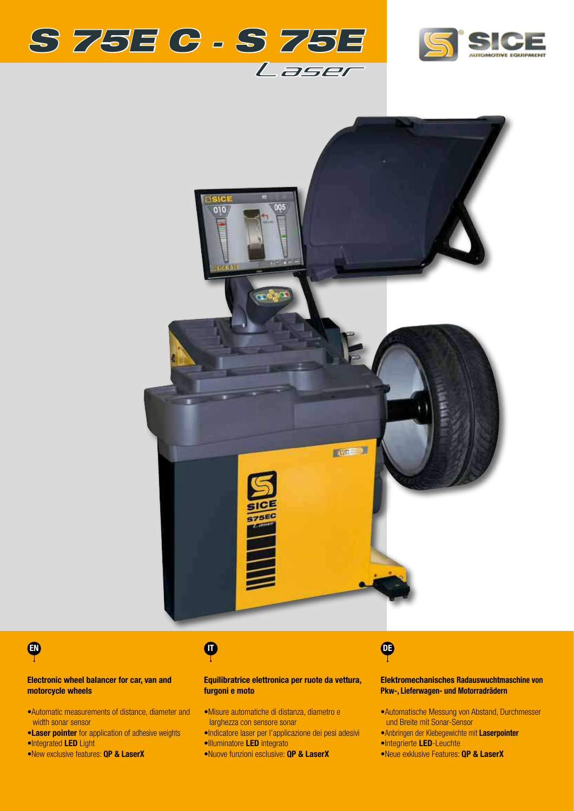





# EN 1999 EN 1999 EN 1999 EN 1999 EN 1999 EN 1999 EN 1999 EN 1999 EN 1999 EN 1999 EN 1999 EN 1999 EN 1999 EN 199

### Electronic wheel balancer for car, van and motorcycle wheels

- •Automatic measurements of distance, diameter and width sonar sensor
- •Laser pointer for application of adhesive weights •Integrated LED Light
- •New exclusive features: **QP & LaserX**

#### Equilibratrice elettronica per ruote da vettura, furgoni e moto

- •Misure automatiche di distanza, diametro e larghezza con sensore sonar
- •Indicatore laser per l'applicazione dei pesi adesivi •Illuminatore LED integrato
- •Nuove funzioni esclusive: QP & LaserX

### Elektromechanisches Radauswuchtmaschine von Pkw-, Lieferwagen- und Motorradrädern

- •Automatische Messung von Abstand, Durchmesser und Breite mit Sonar-Sensor
- •Anbringen der Klebegewichte mit Laserpointer
- •Integrierte LED-Leuchte
- •Neue exklusive Features: QP & LaserX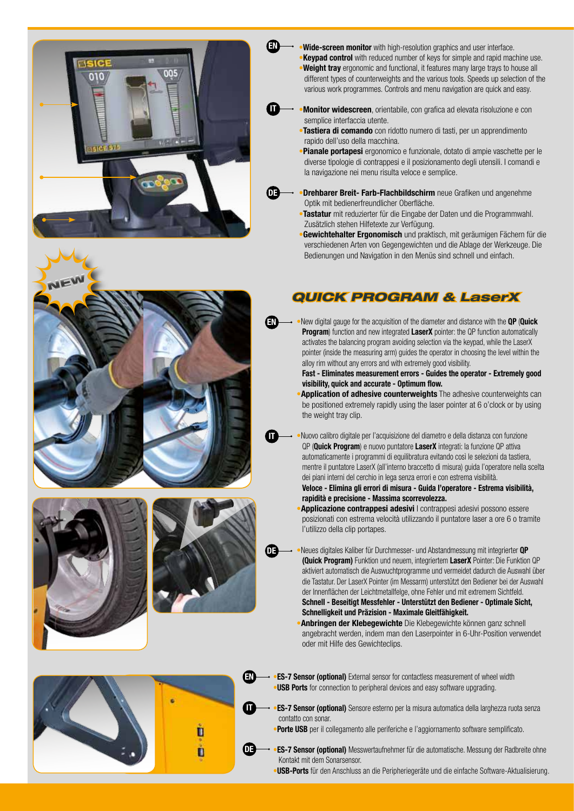







- **Wide-screen monitor** with high-resolution graphics and user interface. **Keypad control** with reduced number of keys for simple and rapid machine use. **Weight tray** ergonomic and functional, it features many large trays to house all different types of counterweights and the various tools. Speeds up selection of the various work programmes. Controls and menu navigation are quick and easy.
- **Monitor widescreen**, orientabile, con grafica ad elevata risoluzione e con semplice interfaccia utente.

EN

 $\bf{u}$ 

 $\mathbf{D}$ 

EN

 $\bf \Phi$ 

ob

- •Tastiera di comando con ridotto numero di tasti, per un apprendimento rapido dell'uso della macchina.
- **Pianale portapesi** ergonomico e funzionale, dotato di ampie vaschette per le diverse tipologie di contrappesi e il posizionamento degli utensili. I comandi e la navigazione nei menu risulta veloce e semplice.
- **Drehbarer Breit- Farb-Flachbildschirm** neue Grafiken und angenehme Optik mit bedienerfreundlicher Oberfläche.
	- •Tastatur mit reduzierter für die Eingabe der Daten und die Programmwahl. Zusätzlich stehen Hilfetexte zur Verfügung.
	- **Gewichtehalter Ergonomisch** und praktisch, mit geräumigen Fächern für die verschiedenen Arten von Gegengewichten und die Ablage der Werkzeuge. Die Bedienungen und Navigation in den Menüs sind schnell und einfach.

# *QUICK PROGRAM & LaserX*

New digital gauge for the acquisition of the diameter and distance with the QP (Quick Program) function and new integrated LaserX pointer: the QP function automatically activates the balancing program avoiding selection via the keypad, while the LaserX pointer (inside the measuring arm) guides the operator in choosing the level within the alloy rim without any errors and with extremely good visibility.

Fast - Eliminates measurement errors - Guides the operator - Extremely good visibility, quick and accurate - Optimum flow.

- **Application of adhesive counterweights** The adhesive counterweights can be positioned extremely rapidly using the laser pointer at 6 o'clock or by using the weight tray clip.
- •Nuovo calibro digitale per l'acquisizione del diametro e della distanza con funzione QP (Quick Program) e nuovo puntatore LaserX integrati: la funzione QP attiva automaticamente i programmi di equilibratura evitando così le selezioni da tastiera, mentre il puntatore LaserX (all'interno braccetto di misura) guida l'operatore nella scelta dei piani interni del cerchio in lega senza errori e con estrema visibilità.
	- Veloce Elimina gli errori di misura Guida l'operatore Estrema visibilità, rapidità e precisione - Massima scorrevolezza.
	- **Applicazione contrappesi adesivi I** contrappesi adesivi possono essere posizionati con estrema velocità utilizzando il puntatore laser a ore 6 o tramite l'utilizzo della clip portapes.
- •Neues digitales Kaliber für Durchmesser- und Abstandmessung mit integrierter QP (Quick Program) Funktion und neuem, integriertem LaserX Pointer: Die Funktion QP aktiviert automatisch die Auswuchtprogramme und vermeidet dadurch die Auswahl über die Tastatur. Der LaserX Pointer (im Messarm) unterstützt den Bediener bei der Auswahl der Innenflächen der Leichtmetallfelge, ohne Fehler und mit extremem Sichtfeld. Schnell - Beseitigt Messfehler - Unterstützt den Bediener - Optimale Sicht,
	- Schnelligkeit und Präzision Maximale Gleitfähigkeit.
	- **Anbringen der Klebegewichte** Die Klebegewichte können ganz schnell angebracht werden, indem man den Laserpointer in 6-Uhr-Position verwendet oder mit Hilfe des Gewichteclips.
- **•ES-7 Sensor (optional)** External sensor for contactless measurement of wheel width **USB Ports** for connection to peripheral devices and easy software upgrading.
- **ES-7 Sensor (optional)** Sensore esterno per la misura automatica della larghezza ruota senza contatto con sonar.
	- Porte USB per il collegamento alle periferiche e l'aggiornamento software semplificato.
- **ES-7 Sensor (optional)** Messwertaufnehmer für die automatische. Messung der Radbreite ohne Kontakt mit dem Sonarsensor.
	- •USB-Ports für den Anschluss an die Peripheriegeräte und die einfache Software-Aktualisierung.

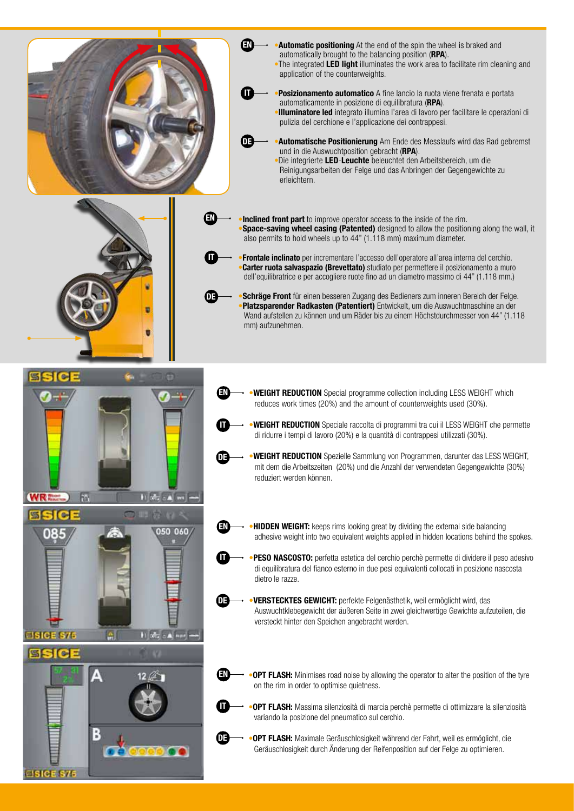